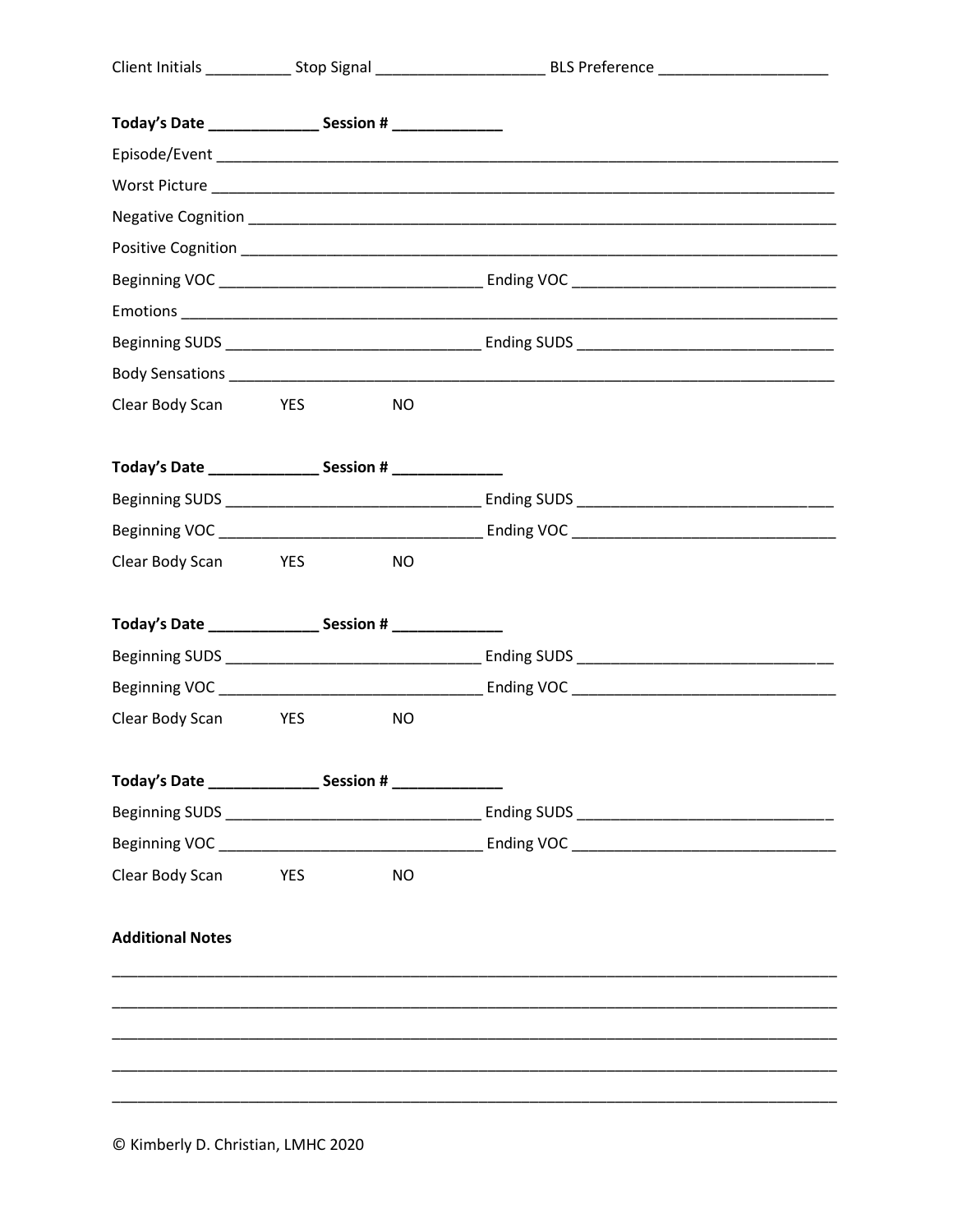| Today's Date _____________________ Session # __________________                  |                       |           |  |
|----------------------------------------------------------------------------------|-----------------------|-----------|--|
|                                                                                  |                       |           |  |
|                                                                                  |                       |           |  |
|                                                                                  |                       |           |  |
|                                                                                  |                       |           |  |
|                                                                                  |                       |           |  |
|                                                                                  |                       |           |  |
|                                                                                  |                       |           |  |
|                                                                                  |                       |           |  |
| Clear Body Scan YES                                                              |                       | <b>NO</b> |  |
| Today's Date _____________________ Session # ________________                    |                       |           |  |
|                                                                                  |                       |           |  |
|                                                                                  |                       |           |  |
| Clear Body Scan YES                                                              |                       | <b>NO</b> |  |
|                                                                                  |                       |           |  |
|                                                                                  |                       |           |  |
|                                                                                  |                       |           |  |
| Clear Body Scan YES                                                              |                       | <b>NO</b> |  |
| Today's Date ______________________ Session # __________________________________ |                       |           |  |
|                                                                                  |                       |           |  |
|                                                                                  |                       |           |  |
| Clear Body Scan                                                                  | <b>Example 19 YES</b> | <b>NO</b> |  |
| <b>Additional Notes</b>                                                          |                       |           |  |
|                                                                                  |                       |           |  |
|                                                                                  |                       |           |  |
|                                                                                  |                       |           |  |